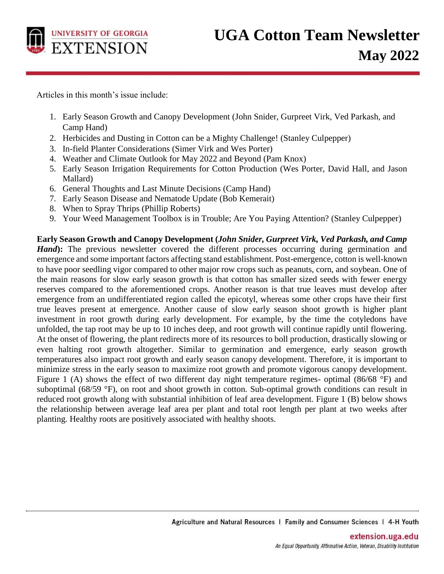

Articles in this month's issue include:

- 1. Early Season Growth and Canopy Development (John Snider, Gurpreet Virk, Ved Parkash, and Camp Hand)
- 2. Herbicides and Dusting in Cotton can be a Mighty Challenge! (Stanley Culpepper)
- 3. In-field Planter Considerations (Simer Virk and Wes Porter)
- 4. Weather and Climate Outlook for May 2022 and Beyond (Pam Knox)
- 5. Early Season Irrigation Requirements for Cotton Production (Wes Porter, David Hall, and Jason Mallard)
- 6. General Thoughts and Last Minute Decisions (Camp Hand)
- 7. Early Season Disease and Nematode Update (Bob Kemerait)
- 8. When to Spray Thrips (Phillip Roberts)
- 9. Your Weed Management Toolbox is in Trouble; Are You Paying Attention? (Stanley Culpepper)

**Early Season Growth and Canopy Development (***John Snider, Gurpreet Virk, Ved Parkash, and Camp Hand*): The previous newsletter covered the different processes occurring during germination and emergence and some important factors affecting stand establishment. Post-emergence, cotton is well-known to have poor seedling vigor compared to other major row crops such as peanuts, corn, and soybean. One of the main reasons for slow early season growth is that cotton has smaller sized seeds with fewer energy reserves compared to the aforementioned crops. Another reason is that true leaves must develop after emergence from an undifferentiated region called the epicotyl, whereas some other crops have their first true leaves present at emergence. Another cause of slow early season shoot growth is higher plant investment in root growth during early development. For example, by the time the cotyledons have unfolded, the tap root may be up to 10 inches deep, and root growth will continue rapidly until flowering. At the onset of flowering, the plant redirects more of its resources to boll production, drastically slowing or even halting root growth altogether. Similar to germination and emergence, early season growth temperatures also impact root growth and early season canopy development. Therefore, it is important to minimize stress in the early season to maximize root growth and promote vigorous canopy development. Figure 1 (A) shows the effect of two different day night temperature regimes- optimal (86/68  $\degree$ F) and suboptimal (68/59 °F), on root and shoot growth in cotton. Sub-optimal growth conditions can result in reduced root growth along with substantial inhibition of leaf area development. Figure 1 (B) below shows the relationship between average leaf area per plant and total root length per plant at two weeks after planting. Healthy roots are positively associated with healthy shoots.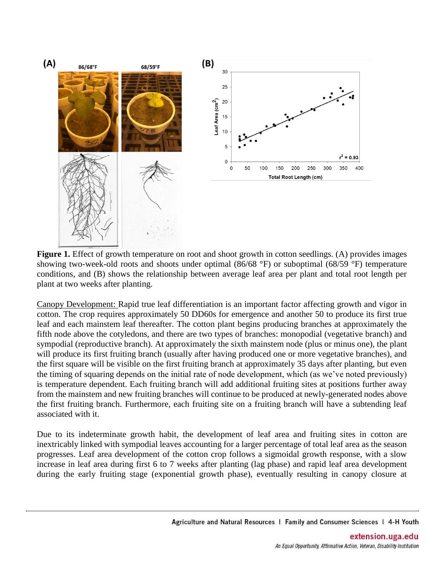

**Figure 1.** Effect of growth temperature on root and shoot growth in cotton seedlings. (A) provides images showing two-week-old roots and shoots under optimal (86/68 °F) or suboptimal (68/59 °F) temperature conditions, and (B) shows the relationship between average leaf area per plant and total root length per plant at two weeks after planting.

Canopy Development: Rapid true leaf differentiation is an important factor affecting growth and vigor in cotton. The crop requires approximately 50 DD60s for emergence and another 50 to produce its first true leaf and each mainstem leaf thereafter. The cotton plant begins producing branches at approximately the fifth node above the cotyledons, and there are two types of branches: monopodial (vegetative branch) and sympodial (reproductive branch). At approximately the sixth mainstem node (plus or minus one), the plant will produce its first fruiting branch (usually after having produced one or more vegetative branches), and the first square will be visible on the first fruiting branch at approximately 35 days after planting, but even the timing of squaring depends on the initial rate of node development, which (as we've noted previously) is temperature dependent. Each fruiting branch will add additional fruiting sites at positions further away from the mainstem and new fruiting branches will continue to be produced at newly-generated nodes above the first fruiting branch. Furthermore, each fruiting site on a fruiting branch will have a subtending leaf associated with it.

Due to its indeterminate growth habit, the development of leaf area and fruiting sites in cotton are inextricably linked with sympodial leaves accounting for a larger percentage of total leaf area as the season progresses. Leaf area development of the cotton crop follows a sigmoidal growth response, with a slow increase in leaf area during first 6 to 7 weeks after planting (lag phase) and rapid leaf area development during the early fruiting stage (exponential growth phase), eventually resulting in canopy closure at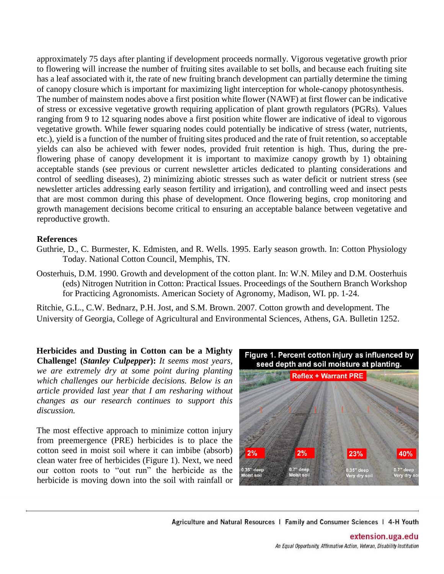approximately 75 days after planting if development proceeds normally. Vigorous vegetative growth prior to flowering will increase the number of fruiting sites available to set bolls, and because each fruiting site has a leaf associated with it, the rate of new fruiting branch development can partially determine the timing of canopy closure which is important for maximizing light interception for whole-canopy photosynthesis. The number of mainstem nodes above a first position white flower (NAWF) at first flower can be indicative of stress or excessive vegetative growth requiring application of plant growth regulators (PGRs). Values ranging from 9 to 12 squaring nodes above a first position white flower are indicative of ideal to vigorous vegetative growth. While fewer squaring nodes could potentially be indicative of stress (water, nutrients, etc.), yield is a function of the number of fruiting sites produced and the rate of fruit retention, so acceptable yields can also be achieved with fewer nodes, provided fruit retention is high. Thus, during the preflowering phase of canopy development it is important to maximize canopy growth by 1) obtaining acceptable stands (see previous or current newsletter articles dedicated to planting considerations and control of seedling diseases), 2) minimizing abiotic stresses such as water deficit or nutrient stress (see newsletter articles addressing early season fertility and irrigation), and controlling weed and insect pests that are most common during this phase of development. Once flowering begins, crop monitoring and growth management decisions become critical to ensuring an acceptable balance between vegetative and reproductive growth.

## **References**

- Guthrie, D., C. Burmester, K. Edmisten, and R. Wells. 1995. Early season growth. In: Cotton Physiology Today. National Cotton Council, Memphis, TN.
- Oosterhuis, D.M. 1990. Growth and development of the cotton plant. In: W.N. Miley and D.M. Oosterhuis (eds) Nitrogen Nutrition in Cotton: Practical Issues. Proceedings of the Southern Branch Workshop for Practicing Agronomists. American Society of Agronomy, Madison, WI. pp. 1-24.

Ritchie, G.L., C.W. Bednarz, P.H. Jost, and S.M. Brown. 2007. Cotton growth and development. The University of Georgia, College of Agricultural and Environmental Sciences, Athens, GA. Bulletin 1252.

**Herbicides and Dusting in Cotton can be a Mighty Challenge! (***Stanley Culpepper***):** *It seems most years, we are extremely dry at some point during planting which challenges our herbicide decisions. Below is an article provided last year that I am resharing without changes as our research continues to support this discussion.*

The most effective approach to minimize cotton injury from preemergence (PRE) herbicides is to place the cotton seed in moist soil where it can imbibe (absorb) clean water free of herbicides (Figure 1). Next, we need our cotton roots to "out run" the herbicide as the herbicide is moving down into the soil with rainfall or



Agriculture and Natural Resources | Family and Consumer Sciences | 4-H Youth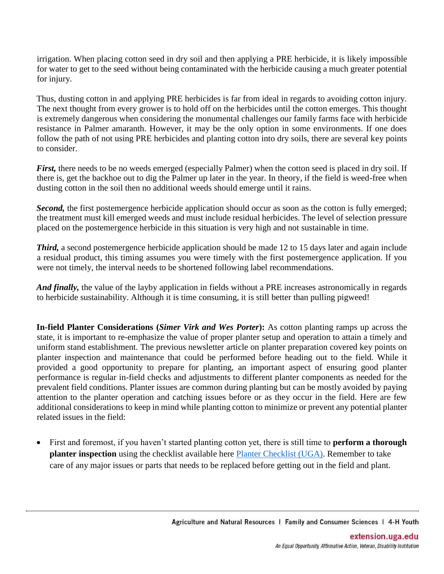irrigation. When placing cotton seed in dry soil and then applying a PRE herbicide, it is likely impossible for water to get to the seed without being contaminated with the herbicide causing a much greater potential for injury.

Thus, dusting cotton in and applying PRE herbicides is far from ideal in regards to avoiding cotton injury. The next thought from every grower is to hold off on the herbicides until the cotton emerges. This thought is extremely dangerous when considering the monumental challenges our family farms face with herbicide resistance in Palmer amaranth. However, it may be the only option in some environments. If one does follow the path of not using PRE herbicides and planting cotton into dry soils, there are several key points to consider.

*First*, there needs to be no weeds emerged (especially Palmer) when the cotton seed is placed in dry soil. If there is, get the backhoe out to dig the Palmer up later in the year. In theory, if the field is weed-free when dusting cotton in the soil then no additional weeds should emerge until it rains.

**Second,** the first postemergence herbicide application should occur as soon as the cotton is fully emerged; the treatment must kill emerged weeds and must include residual herbicides. The level of selection pressure placed on the postemergence herbicide in this situation is very high and not sustainable in time.

*Third,* a second postemergence herbicide application should be made 12 to 15 days later and again include a residual product, this timing assumes you were timely with the first postemergence application. If you were not timely, the interval needs to be shortened following label recommendations.

*And finally,* the value of the layby application in fields without a PRE increases astronomically in regards to herbicide sustainability. Although it is time consuming, it is still better than pulling pigweed!

**In-field Planter Considerations (***Simer Virk and Wes Porter***):** As cotton planting ramps up across the state, it is important to re-emphasize the value of proper planter setup and operation to attain a timely and uniform stand establishment. The previous newsletter article on planter preparation covered key points on planter inspection and maintenance that could be performed before heading out to the field. While it provided a good opportunity to prepare for planting, an important aspect of ensuring good planter performance is regular in-field checks and adjustments to different planter components as needed for the prevalent field conditions. Planter issues are common during planting but can be mostly avoided by paying attention to the planter operation and catching issues before or as they occur in the field. Here are few additional considerations to keep in mind while planting cotton to minimize or prevent any potential planter related issues in the field:

• First and foremost, if you haven't started planting cotton yet, there is still time to **perform a thorough planter inspection** using the checklist available here [Planter Checklist \(UGA\).](https://site.extension.uga.edu/precisionag/2022/03/12-point-checklist-to-ensure-your-planter-is-ready-for-the-field/) Remember to take care of any major issues or parts that needs to be replaced before getting out in the field and plant.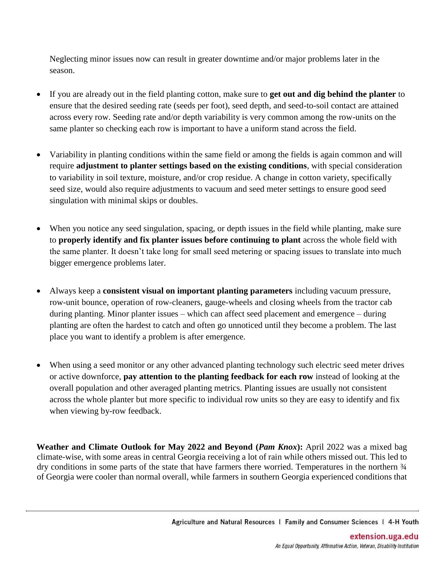Neglecting minor issues now can result in greater downtime and/or major problems later in the season.

- If you are already out in the field planting cotton, make sure to **get out and dig behind the planter** to ensure that the desired seeding rate (seeds per foot), seed depth, and seed-to-soil contact are attained across every row. Seeding rate and/or depth variability is very common among the row-units on the same planter so checking each row is important to have a uniform stand across the field.
- Variability in planting conditions within the same field or among the fields is again common and will require **adjustment to planter settings based on the existing conditions**, with special consideration to variability in soil texture, moisture, and/or crop residue. A change in cotton variety, specifically seed size, would also require adjustments to vacuum and seed meter settings to ensure good seed singulation with minimal skips or doubles.
- When you notice any seed singulation, spacing, or depth issues in the field while planting, make sure to **properly identify and fix planter issues before continuing to plant** across the whole field with the same planter. It doesn't take long for small seed metering or spacing issues to translate into much bigger emergence problems later.
- Always keep a **consistent visual on important planting parameters** including vacuum pressure, row-unit bounce, operation of row-cleaners, gauge-wheels and closing wheels from the tractor cab during planting. Minor planter issues – which can affect seed placement and emergence – during planting are often the hardest to catch and often go unnoticed until they become a problem. The last place you want to identify a problem is after emergence.
- When using a seed monitor or any other advanced planting technology such electric seed meter drives or active downforce, **pay attention to the planting feedback for each row** instead of looking at the overall population and other averaged planting metrics. Planting issues are usually not consistent across the whole planter but more specific to individual row units so they are easy to identify and fix when viewing by-row feedback.

**Weather and Climate Outlook for May 2022 and Beyond (***Pam Knox***):** April 2022 was a mixed bag climate-wise, with some areas in central Georgia receiving a lot of rain while others missed out. This led to dry conditions in some parts of the state that have farmers there worried. Temperatures in the northern  $\frac{3}{4}$ of Georgia were cooler than normal overall, while farmers in southern Georgia experienced conditions that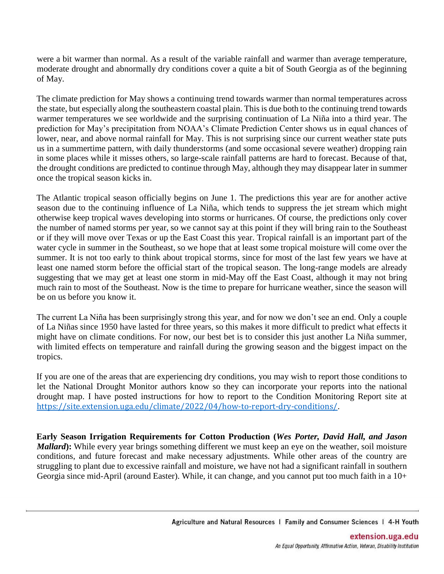were a bit warmer than normal. As a result of the variable rainfall and warmer than average temperature, moderate drought and abnormally dry conditions cover a quite a bit of South Georgia as of the beginning of May.

The climate prediction for May shows a continuing trend towards warmer than normal temperatures across the state, but especially along the southeastern coastal plain. This is due both to the continuing trend towards warmer temperatures we see worldwide and the surprising continuation of La Niña into a third year. The prediction for May's precipitation from NOAA's Climate Prediction Center shows us in equal chances of lower, near, and above normal rainfall for May. This is not surprising since our current weather state puts us in a summertime pattern, with daily thunderstorms (and some occasional severe weather) dropping rain in some places while it misses others, so large-scale rainfall patterns are hard to forecast. Because of that, the drought conditions are predicted to continue through May, although they may disappear later in summer once the tropical season kicks in.

The Atlantic tropical season officially begins on June 1. The predictions this year are for another active season due to the continuing influence of La Niña, which tends to suppress the jet stream which might otherwise keep tropical waves developing into storms or hurricanes. Of course, the predictions only cover the number of named storms per year, so we cannot say at this point if they will bring rain to the Southeast or if they will move over Texas or up the East Coast this year. Tropical rainfall is an important part of the water cycle in summer in the Southeast, so we hope that at least some tropical moisture will come over the summer. It is not too early to think about tropical storms, since for most of the last few years we have at least one named storm before the official start of the tropical season. The long-range models are already suggesting that we may get at least one storm in mid-May off the East Coast, although it may not bring much rain to most of the Southeast. Now is the time to prepare for hurricane weather, since the season will be on us before you know it.

The current La Niña has been surprisingly strong this year, and for now we don't see an end. Only a couple of La Niñas since 1950 have lasted for three years, so this makes it more difficult to predict what effects it might have on climate conditions. For now, our best bet is to consider this just another La Niña summer, with limited effects on temperature and rainfall during the growing season and the biggest impact on the tropics.

If you are one of the areas that are experiencing dry conditions, you may wish to report those conditions to let the National Drought Monitor authors know so they can incorporate your reports into the national drought map. I have posted instructions for how to report to the Condition Monitoring Report site at <https://site.extension.uga.edu/climate/2022/04/how-to-report-dry-conditions/>.

**Early Season Irrigation Requirements for Cotton Production (***Wes Porter, David Hall, and Jason Mallard*): While every year brings something different we must keep an eye on the weather, soil moisture conditions, and future forecast and make necessary adjustments. While other areas of the country are struggling to plant due to excessive rainfall and moisture, we have not had a significant rainfall in southern Georgia since mid-April (around Easter). While, it can change, and you cannot put too much faith in a 10+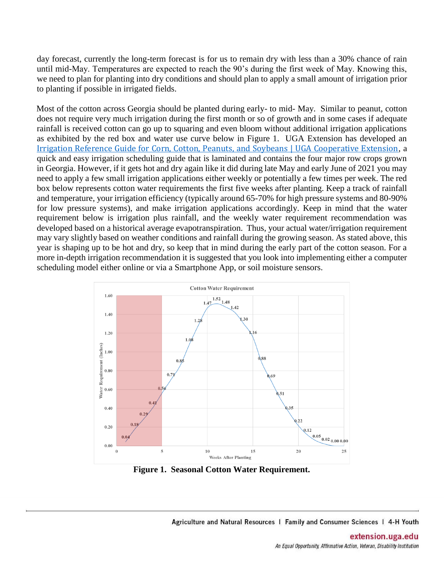day forecast, currently the long-term forecast is for us to remain dry with less than a 30% chance of rain until mid-May. Temperatures are expected to reach the 90's during the first week of May. Knowing this, we need to plan for planting into dry conditions and should plan to apply a small amount of irrigation prior to planting if possible in irrigated fields.

Most of the cotton across Georgia should be planted during early- to mid- May. Similar to peanut, cotton does not require very much irrigation during the first month or so of growth and in some cases if adequate rainfall is received cotton can go up to squaring and even bloom without additional irrigation applications as exhibited by the red box and water use curve below in Figure 1. UGA Extension has developed an [Irrigation Reference Guide for Corn, Cotton, Peanuts, and Soybeans | UGA Cooperative Extension](https://extension.uga.edu/publications/detail.html?number=C1189), a quick and easy irrigation scheduling guide that is laminated and contains the four major row crops grown in Georgia. However, if it gets hot and dry again like it did during late May and early June of 2021 you may need to apply a few small irrigation applications either weekly or potentially a few times per week. The red box below represents cotton water requirements the first five weeks after planting. Keep a track of rainfall and temperature, your irrigation efficiency (typically around 65-70% for high pressure systems and 80-90% for low pressure systems), and make irrigation applications accordingly. Keep in mind that the water requirement below is irrigation plus rainfall, and the weekly water requirement recommendation was developed based on a historical average evapotranspiration. Thus, your actual water/irrigation requirement may vary slightly based on weather conditions and rainfall during the growing season. As stated above, this year is shaping up to be hot and dry, so keep that in mind during the early part of the cotton season. For a more in-depth irrigation recommendation it is suggested that you look into implementing either a computer scheduling model either online or via a Smartphone App, or soil moisture sensors.



**Figure 1. Seasonal Cotton Water Requirement.**

Agriculture and Natural Resources | Family and Consumer Sciences | 4-H Youth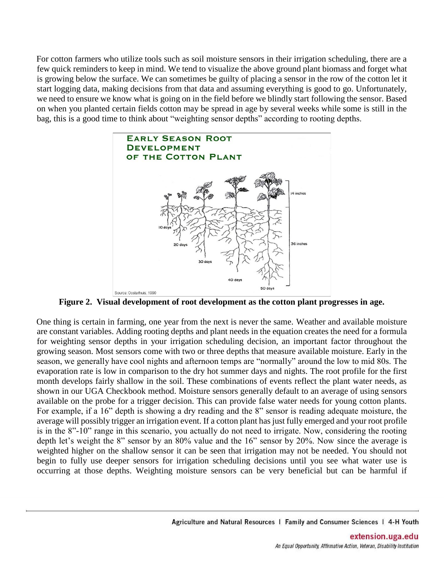For cotton farmers who utilize tools such as soil moisture sensors in their irrigation scheduling, there are a few quick reminders to keep in mind. We tend to visualize the above ground plant biomass and forget what is growing below the surface. We can sometimes be guilty of placing a sensor in the row of the cotton let it start logging data, making decisions from that data and assuming everything is good to go. Unfortunately, we need to ensure we know what is going on in the field before we blindly start following the sensor. Based on when you planted certain fields cotton may be spread in age by several weeks while some is still in the bag, this is a good time to think about "weighting sensor depths" according to rooting depths.



**Figure 2. Visual development of root development as the cotton plant progresses in age.**

One thing is certain in farming, one year from the next is never the same. Weather and available moisture are constant variables. Adding rooting depths and plant needs in the equation creates the need for a formula for weighting sensor depths in your irrigation scheduling decision, an important factor throughout the growing season. Most sensors come with two or three depths that measure available moisture. Early in the season, we generally have cool nights and afternoon temps are "normally" around the low to mid 80s. The evaporation rate is low in comparison to the dry hot summer days and nights. The root profile for the first month develops fairly shallow in the soil. These combinations of events reflect the plant water needs, as shown in our UGA Checkbook method. Moisture sensors generally default to an average of using sensors available on the probe for a trigger decision. This can provide false water needs for young cotton plants. For example, if a 16" depth is showing a dry reading and the 8" sensor is reading adequate moisture, the average will possibly trigger an irrigation event. If a cotton plant has just fully emerged and your root profile is in the 8"-10" range in this scenario, you actually do not need to irrigate. Now, considering the rooting depth let's weight the 8" sensor by an 80% value and the 16" sensor by 20%. Now since the average is weighted higher on the shallow sensor it can be seen that irrigation may not be needed. You should not begin to fully use deeper sensors for irrigation scheduling decisions until you see what water use is occurring at those depths. Weighting moisture sensors can be very beneficial but can be harmful if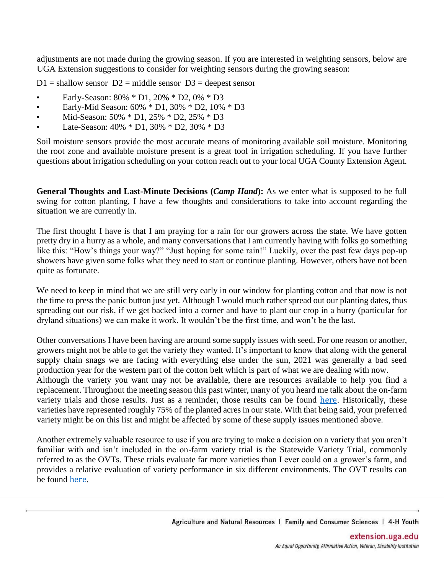adjustments are not made during the growing season. If you are interested in weighting sensors, below are UGA Extension suggestions to consider for weighting sensors during the growing season:

 $D1$  = shallow sensor  $D2$  = middle sensor  $D3$  = deepest sensor

- Early-Season: 80% \* D1, 20% \* D2, 0% \* D3
- Early-Mid Season: 60% \* D1, 30% \* D2, 10% \* D3
- Mid-Season: 50% \* D1, 25% \* D2, 25% \* D3
- Late-Season: 40% \* D1, 30% \* D2, 30% \* D3

Soil moisture sensors provide the most accurate means of monitoring available soil moisture. Monitoring the root zone and available moisture present is a great tool in irrigation scheduling. If you have further questions about irrigation scheduling on your cotton reach out to your local UGA County Extension Agent.

**General Thoughts and Last-Minute Decisions (***Camp Hand***):** As we enter what is supposed to be full swing for cotton planting, I have a few thoughts and considerations to take into account regarding the situation we are currently in.

The first thought I have is that I am praying for a rain for our growers across the state. We have gotten pretty dry in a hurry as a whole, and many conversations that I am currently having with folks go something like this: "How's things your way?" "Just hoping for some rain!" Luckily, over the past few days pop-up showers have given some folks what they need to start or continue planting. However, others have not been quite as fortunate.

We need to keep in mind that we are still very early in our window for planting cotton and that now is not the time to press the panic button just yet. Although I would much rather spread out our planting dates, thus spreading out our risk, if we get backed into a corner and have to plant our crop in a hurry (particular for dryland situations) we can make it work. It wouldn't be the first time, and won't be the last.

Other conversations I have been having are around some supply issues with seed. For one reason or another, growers might not be able to get the variety they wanted. It's important to know that along with the general supply chain snags we are facing with everything else under the sun, 2021 was generally a bad seed production year for the western part of the cotton belt which is part of what we are dealing with now. Although the variety you want may not be available, there are resources available to help you find a replacement. Throughout the meeting season this past winter, many of you heard me talk about the on-farm variety trials and those results. Just as a reminder, those results can be found [here](http://www.ugacotton.com/vault/file/2021-Variety-Trial-Results-FINAL.pdf). Historically, these varieties have represented roughly 75% of the planted acres in our state. With that being said, your preferred variety might be on this list and might be affected by some of these supply issues mentioned above.

Another extremely valuable resource to use if you are trying to make a decision on a variety that you aren't familiar with and isn't included in the on-farm variety trial is the Statewide Variety Trial, commonly referred to as the OVTs. These trials evaluate far more varieties than I ever could on a grower's farm, and provides a relative evaluation of variety performance in six different environments. The OVT results can be found [here](https://swvt.uga.edu/content/dam/caes-subsite/statewide-variety-testing/docs/performance-trials/2021/2021-peanut-cotton-prelim.pdf).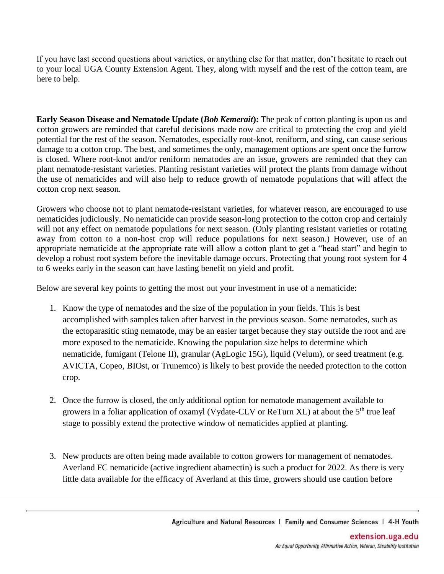If you have last second questions about varieties, or anything else for that matter, don't hesitate to reach out to your local UGA County Extension Agent. They, along with myself and the rest of the cotton team, are here to help.

**Early Season Disease and Nematode Update (***Bob Kemerait***):** The peak of cotton planting is upon us and cotton growers are reminded that careful decisions made now are critical to protecting the crop and yield potential for the rest of the season. Nematodes, especially root-knot, reniform, and sting, can cause serious damage to a cotton crop. The best, and sometimes the only, management options are spent once the furrow is closed. Where root-knot and/or reniform nematodes are an issue, growers are reminded that they can plant nematode-resistant varieties. Planting resistant varieties will protect the plants from damage without the use of nematicides and will also help to reduce growth of nematode populations that will affect the cotton crop next season.

Growers who choose not to plant nematode-resistant varieties, for whatever reason, are encouraged to use nematicides judiciously. No nematicide can provide season-long protection to the cotton crop and certainly will not any effect on nematode populations for next season. (Only planting resistant varieties or rotating away from cotton to a non-host crop will reduce populations for next season.) However, use of an appropriate nematicide at the appropriate rate will allow a cotton plant to get a "head start" and begin to develop a robust root system before the inevitable damage occurs. Protecting that young root system for 4 to 6 weeks early in the season can have lasting benefit on yield and profit.

Below are several key points to getting the most out your investment in use of a nematicide:

- 1. Know the type of nematodes and the size of the population in your fields. This is best accomplished with samples taken after harvest in the previous season. Some nematodes, such as the ectoparasitic sting nematode, may be an easier target because they stay outside the root and are more exposed to the nematicide. Knowing the population size helps to determine which nematicide, fumigant (Telone II), granular (AgLogic 15G), liquid (Velum), or seed treatment (e.g. AVICTA, Copeo, BIOst, or Trunemco) is likely to best provide the needed protection to the cotton crop.
- 2. Once the furrow is closed, the only additional option for nematode management available to growers in a foliar application of oxamyl (Vydate-CLV or ReTurn XL) at about the  $5<sup>th</sup>$  true leaf stage to possibly extend the protective window of nematicides applied at planting.
- 3. New products are often being made available to cotton growers for management of nematodes. Averland FC nematicide (active ingredient abamectin) is such a product for 2022. As there is very little data available for the efficacy of Averland at this time, growers should use caution before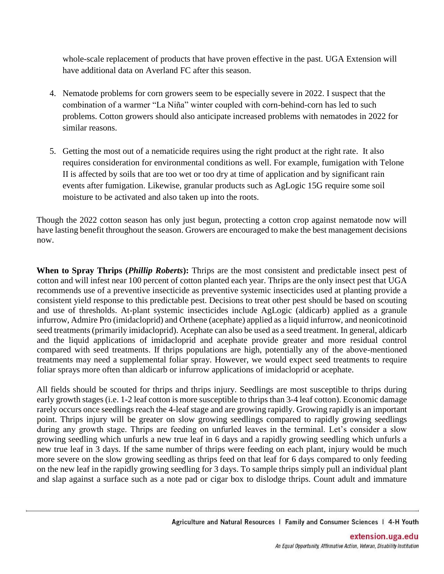whole-scale replacement of products that have proven effective in the past. UGA Extension will have additional data on Averland FC after this season.

- 4. Nematode problems for corn growers seem to be especially severe in 2022. I suspect that the combination of a warmer "La Niña" winter coupled with corn-behind-corn has led to such problems. Cotton growers should also anticipate increased problems with nematodes in 2022 for similar reasons.
- 5. Getting the most out of a nematicide requires using the right product at the right rate. It also requires consideration for environmental conditions as well. For example, fumigation with Telone II is affected by soils that are too wet or too dry at time of application and by significant rain events after fumigation. Likewise, granular products such as AgLogic 15G require some soil moisture to be activated and also taken up into the roots.

Though the 2022 cotton season has only just begun, protecting a cotton crop against nematode now will have lasting benefit throughout the season. Growers are encouraged to make the best management decisions now.

**When to Spray Thrips (***Phillip Roberts***):** Thrips are the most consistent and predictable insect pest of cotton and will infest near 100 percent of cotton planted each year. Thrips are the only insect pest that UGA recommends use of a preventive insecticide as preventive systemic insecticides used at planting provide a consistent yield response to this predictable pest. Decisions to treat other pest should be based on scouting and use of thresholds. At-plant systemic insecticides include AgLogic (aldicarb) applied as a granule infurrow, Admire Pro (imidacloprid) and Orthene (acephate) applied as a liquid infurrow, and neonicotinoid seed treatments (primarily imidacloprid). Acephate can also be used as a seed treatment. In general, aldicarb and the liquid applications of imidacloprid and acephate provide greater and more residual control compared with seed treatments. If thrips populations are high, potentially any of the above-mentioned treatments may need a supplemental foliar spray. However, we would expect seed treatments to require foliar sprays more often than aldicarb or infurrow applications of imidacloprid or acephate.

All fields should be scouted for thrips and thrips injury. Seedlings are most susceptible to thrips during early growth stages (i.e. 1-2 leaf cotton is more susceptible to thrips than 3-4 leaf cotton). Economic damage rarely occurs once seedlings reach the 4-leaf stage and are growing rapidly. Growing rapidly is an important point. Thrips injury will be greater on slow growing seedlings compared to rapidly growing seedlings during any growth stage. Thrips are feeding on unfurled leaves in the terminal. Let's consider a slow growing seedling which unfurls a new true leaf in 6 days and a rapidly growing seedling which unfurls a new true leaf in 3 days. If the same number of thrips were feeding on each plant, injury would be much more severe on the slow growing seedling as thrips feed on that leaf for 6 days compared to only feeding on the new leaf in the rapidly growing seedling for 3 days. To sample thrips simply pull an individual plant and slap against a surface such as a note pad or cigar box to dislodge thrips. Count adult and immature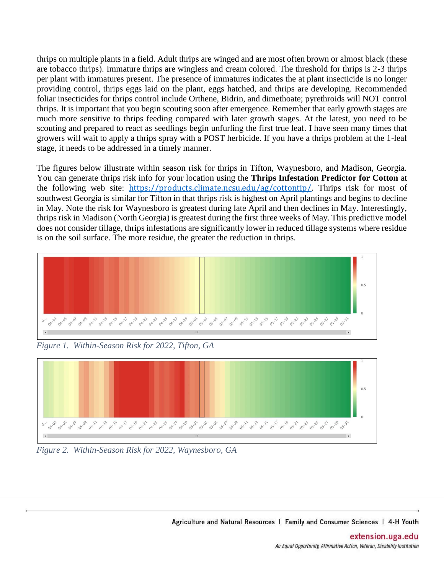thrips on multiple plants in a field. Adult thrips are winged and are most often brown or almost black (these are tobacco thrips). Immature thrips are wingless and cream colored. The threshold for thrips is 2-3 thrips per plant with immatures present. The presence of immatures indicates the at plant insecticide is no longer providing control, thrips eggs laid on the plant, eggs hatched, and thrips are developing. Recommended foliar insecticides for thrips control include Orthene, Bidrin, and dimethoate; pyrethroids will NOT control thrips. It is important that you begin scouting soon after emergence. Remember that early growth stages are much more sensitive to thrips feeding compared with later growth stages. At the latest, you need to be scouting and prepared to react as seedlings begin unfurling the first true leaf. I have seen many times that growers will wait to apply a thrips spray with a POST herbicide. If you have a thrips problem at the 1-leaf stage, it needs to be addressed in a timely manner.

The figures below illustrate within season risk for thrips in Tifton, Waynesboro, and Madison, Georgia. You can generate thrips risk info for your location using the **Thrips Infestation Predictor for Cotton** at the following web site: <https://products.climate.ncsu.edu/ag/cottontip/>. Thrips risk for most of southwest Georgia is similar for Tifton in that thrips risk is highest on April plantings and begins to decline in May. Note the risk for Waynesboro is greatest during late April and then declines in May. Interestingly, thrips risk in Madison (North Georgia) is greatest during the first three weeks of May. This predictive model does not consider tillage, thrips infestations are significantly lower in reduced tillage systems where residue is on the soil surface. The more residue, the greater the reduction in thrips.



*Figure 1. Within-Season Risk for 2022, Tifton, GA*



*Figure 2. Within-Season Risk for 2022, Waynesboro, GA*

Agriculture and Natural Resources | Family and Consumer Sciences | 4-H Youth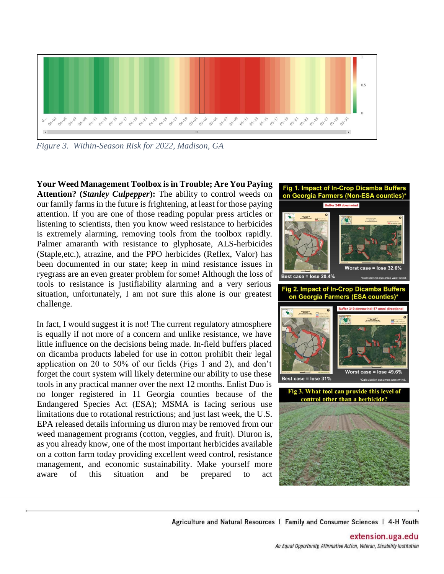

*Figure 3. Within-Season Risk for 2022, Madison, GA*

**Your Weed Management Toolbox is in Trouble; Are You Paying Attention? (***Stanley Culpepper***):** The ability to control weeds on our family farms in the future is frightening, at least for those paying attention. If you are one of those reading popular press articles or listening to scientists, then you know weed resistance to herbicides is extremely alarming, removing tools from the toolbox rapidly. Palmer amaranth with resistance to glyphosate, ALS-herbicides (Staple,etc.), atrazine, and the PPO herbicides (Reflex, Valor) has been documented in our state; keep in mind resistance issues in ryegrass are an even greater problem for some! Although the loss of tools to resistance is justifiability alarming and a very serious situation, unfortunately, I am not sure this alone is our greatest challenge.

In fact, I would suggest it is not! The current regulatory atmosphere is equally if not more of a concern and unlike resistance, we have little influence on the decisions being made. In-field buffers placed on dicamba products labeled for use in cotton prohibit their legal application on 20 to 50% of our fields (Figs 1 and 2), and don't forget the court system will likely determine our ability to use these tools in any practical manner over the next 12 months. Enlist Duo is no longer registered in 11 Georgia counties because of the Endangered Species Act (ESA); MSMA is facing serious use limitations due to rotational restrictions; and just last week, the U.S. EPA released details informing us diuron may be removed from our weed management programs (cotton, veggies, and fruit). Diuron is, as you already know, one of the most important herbicides available on a cotton farm today providing excellent weed control, resistance management, and economic sustainability. Make yourself more aware of this situation and be prepared to act